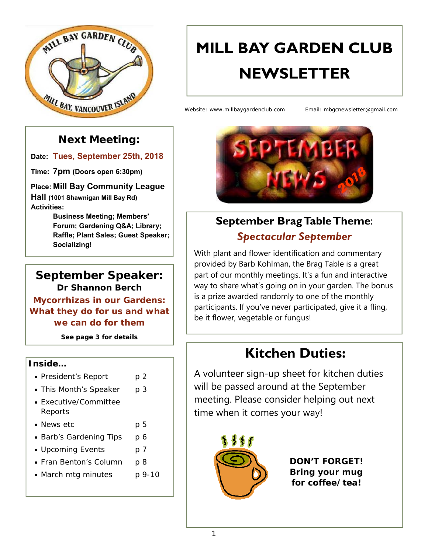

# **MILL BAY GARDEN CLUB NEWSLETTER**

Website: www.millbaygardenclub.com Email: mbgcnewsletter@gmail.com

### **Next Meeting:**

**Date: Tues, September 25th, 2018**

**Time: 7pm (Doors open 6:30pm)** 

**Place: Mill Bay Community League Hall (1001 Shawnigan Mill Bay Rd) Activities:** 

**Business Meeting; Members' Forum; Gardening Q&A; Library; Raffle; Plant Sales; Guest Speaker; Socializing!**

### **September Speaker: Dr Shannon Berch**

**Mycorrhizas in our Gardens: What they do for us and what we can do for them** 

*See page 3 for details* 

#### **Inside…**

- President's Report p 2
- This Month's Speaker p 3
- Executive/Committee Reports
- News etc p 5
- Barb's Gardening Tips p 6
- Upcoming Events p 7
- Fran Benton's Column p 8
- March mtg minutes p 9-10



# **September Brag Table Theme**: *Spectacular September*

With plant and flower identification and commentary provided by Barb Kohlman, the Brag Table is a great part of our monthly meetings. It's a fun and interactive way to share what's going on in your garden. The bonus is a prize awarded randomly to one of the monthly participants. If you've never participated, give it a fling, be it flower, vegetable or fungus!

# **Kitchen Duties:**

A volunteer sign-up sheet for kitchen duties will be passed around at the September meeting. Please consider helping out next time when it comes your way!



*DON'T FORGET! Bring your mug for coffee/tea!*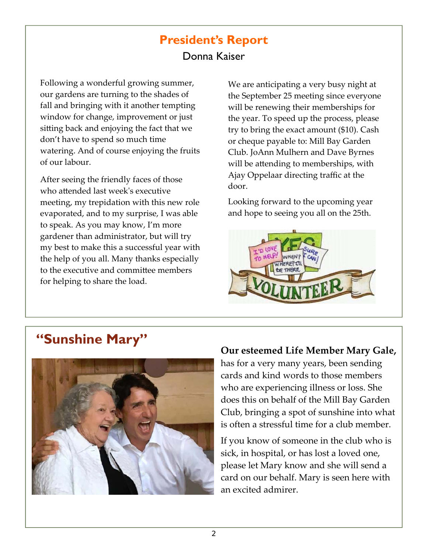### **President's Report**  Donna Kaiser

Following a wonderful growing summer, our gardens are turning to the shades of fall and bringing with it another tempting window for change, improvement or just sitting back and enjoying the fact that we don't have to spend so much time watering. And of course enjoying the fruits of our labour.

After seeing the friendly faces of those who attended last week's executive meeting, my trepidation with this new role evaporated, and to my surprise, I was able to speak. As you may know, I'm more gardener than administrator, but will try my best to make this a successful year with the help of you all. Many thanks especially to the executive and committee members for helping to share the load.

We are anticipating a very busy night at the September 25 meeting since everyone will be renewing their memberships for the year. To speed up the process, please try to bring the exact amount (\$10). Cash or cheque payable to: Mill Bay Garden Club. JoAnn Mulhern and Dave Byrnes will be attending to memberships, with Ajay Oppelaar directing traffic at the door.

Looking forward to the upcoming year and hope to seeing you all on the 25th.



# **"Sunshine Mary"**



#### **Our esteemed Life Member Mary Gale,**

has for a very many years, been sending cards and kind words to those members who are experiencing illness or loss. She does this on behalf of the Mill Bay Garden Club, bringing a spot of sunshine into what is often a stressful time for a club member.

If you know of someone in the club who is sick, in hospital, or has lost a loved one, please let Mary know and she will send a card on our behalf. Mary is seen here with an excited admirer.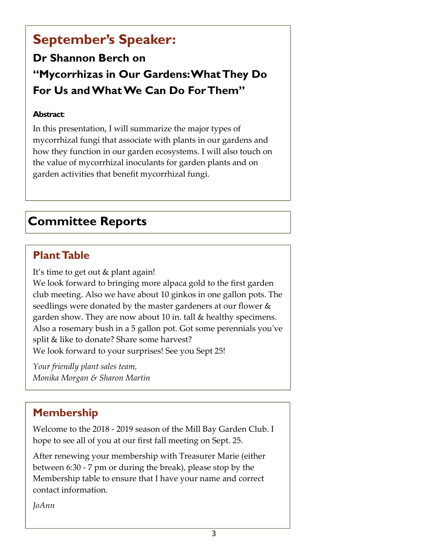# **September's Speaker:**

# **Dr Shannon Berch on "Mycorrhizas in Our Gardens: What They Do For Us and What We Can Do For Them"**

#### **Abstract**:

In this presentation, I will summarize the major types of mycorrhizal fungi that associate with plants in our gardens and how they function in our garden ecosystems. I will also touch on the value of mycorrhizal inoculants for garden plants and on garden activities that benefit mycorrhizal fungi.

# **Committee Reports**

### **Plant Table**

It's time to get out & plant again! We look forward to bringing more alpaca gold to the first garden

club meeting. Also we have about 10 ginkos in one gallon pots. The seedlings were donated by the master gardeners at our flower & garden show. They are now about 10 in. tall & healthy specimens. Also a rosemary bush in a 5 gallon pot. Got some perennials youʹve split & like to donate? Share some harvest? We look forward to your surprises! See you Sept 25!

*Your friendly plant sales team, Monika Morgan & Sharon Martin* 

### **Membership**

Welcome to the 2018 ‐ 2019 season of the Mill Bay Garden Club. I hope to see all of you at our first fall meeting on Sept. 25.

After renewing your membership with Treasurer Marie (either between 6:30 ‐ 7 pm or during the break), please stop by the Membership table to ensure that I have your name and correct contact information.

*JoAnn*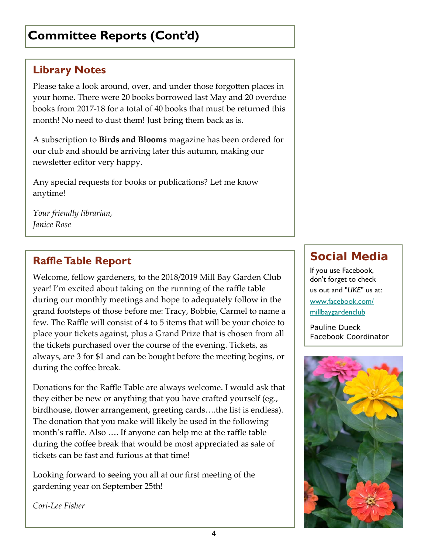# **Committee Reports (Cont'd)**

### **Library Notes**

Please take a look around, over, and under those forgotten places in your home. There were 20 books borrowed last May and 20 overdue books from 2017‐18 for a total of 40 books that must be returned this month! No need to dust them! Just bring them back as is.

A subscription to **Birds and Blooms** magazine has been ordered for our club and should be arriving later this autumn, making our newsletter editor very happy.

Any special requests for books or publications? Let me know anytime!

*Your friendly librarian, Janice Rose* 

### **Raffle Table Report**

Welcome, fellow gardeners, to the 2018/2019 Mill Bay Garden Club year! I'm excited about taking on the running of the raffle table during our monthly meetings and hope to adequately follow in the grand footsteps of those before me: Tracy, Bobbie, Carmel to name a few. The Raffle will consist of 4 to 5 items that will be your choice to place your tickets against, plus a Grand Prize that is chosen from all the tickets purchased over the course of the evening. Tickets, as always, are 3 for \$1 and can be bought before the meeting begins, or during the coffee break.

Donations for the Raffle Table are always welcome. I would ask that they either be new or anything that you have crafted yourself (eg., birdhouse, flower arrangement, greeting cards….the list is endless). The donation that you make will likely be used in the following month's raffle. Also …. If anyone can help me at the raffle table during the coffee break that would be most appreciated as sale of tickets can be fast and furious at that time!

Looking forward to seeing you all at our first meeting of the gardening year on September 25th!

### **Social Media**

If you use Facebook, don't forget to check us out and "*LIKE*" us at: www.facebook.com/ millbaygardenclub

*Pauline Dueck Facebook Coordinator*



*Cori‐Lee Fisher*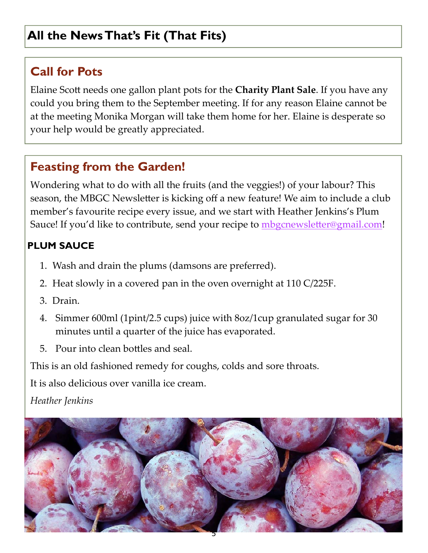# **All the News That's Fit (That Fits)**

# **Call for Pots**

Elaine Scott needs one gallon plant pots for the **Charity Plant Sale**. If you have any could you bring them to the September meeting. If for any reason Elaine cannot be at the meeting Monika Morgan will take them home for her. Elaine is desperate so your help would be greatly appreciated.

## **Feasting from the Garden!**

Wondering what to do with all the fruits (and the veggies!) of your labour? This season, the MBGC Newsletter is kicking off a new feature! We aim to include a club member's favourite recipe every issue, and we start with Heather Jenkins's Plum Sauce! If you'd like to contribute, send your recipe to mbgcnewsletter@gmail.com!

### **PLUM SAUCE**

- 1. Wash and drain the plums (damsons are preferred).
- 2. Heat slowly in a covered pan in the oven overnight at 110 C/225F.
- 3. Drain.
- 4. Simmer 600ml (1pint/2.5 cups) juice with 8oz/1cup granulated sugar for 30 minutes until a quarter of the juice has evaporated.
- 5. Pour into clean bottles and seal.

This is an old fashioned remedy for coughs, colds and sore throats.

It is also delicious over vanilla ice cream.

*Heather Jenkins* 

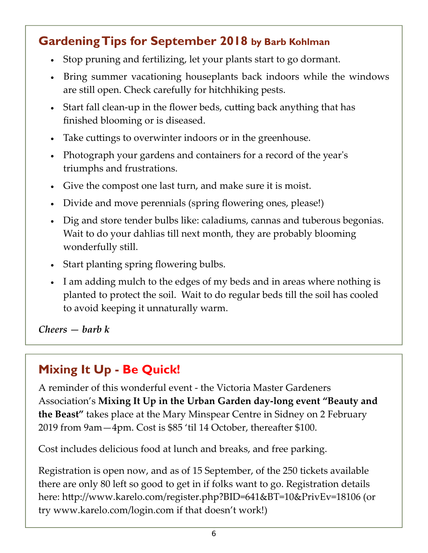# **Gardening Tips for September 2018 by Barb Kohlman**

- Stop pruning and fertilizing, let your plants start to go dormant.
- Bring summer vacationing houseplants back indoors while the windows are still open. Check carefully for hitchhiking pests.
- Start fall clean-up in the flower beds, cutting back anything that has finished blooming or is diseased.
- Take cuttings to overwinter indoors or in the greenhouse.
- Photograph your gardens and containers for a record of the year's triumphs and frustrations.
- Give the compost one last turn, and make sure it is moist.
- Divide and move perennials (spring flowering ones, please!)
- Dig and store tender bulbs like: caladiums, cannas and tuberous begonias. Wait to do your dahlias till next month, they are probably blooming wonderfully still.
- Start planting spring flowering bulbs.
- I am adding mulch to the edges of my beds and in areas where nothing is planted to protect the soil. Wait to do regular beds till the soil has cooled to avoid keeping it unnaturally warm.

*Cheers — barb k* 

# **Mixing It Up - Be Quick!**

A reminder of this wonderful event ‐ the Victoria Master Gardeners Association's **Mixing It Up in the Urban Garden day‐long event "Beauty and the Beast"** takes place at the Mary Minspear Centre in Sidney on 2 February 2019 from 9am—4pm. Cost is \$85 'til 14 October, thereafter \$100.

Cost includes delicious food at lunch and breaks, and free parking.

Registration is open now, and as of 15 September, of the 250 tickets available there are only 80 left so good to get in if folks want to go. Registration details here: http://www.karelo.com/register.php?BID=641&BT=10&PrivEv=18106 (or try www.karelo.com/login.com if that doesn't work!)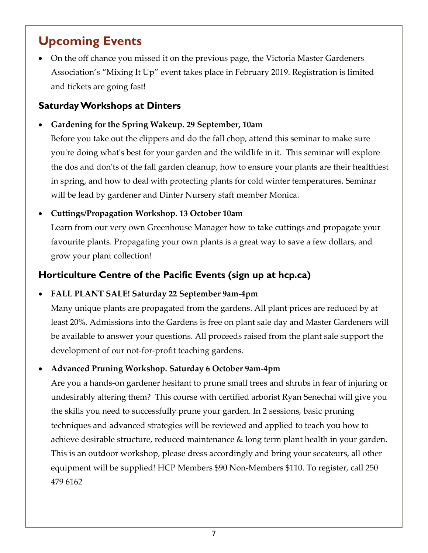# **Upcoming Events**

 On the off chance you missed it on the previous page, the Victoria Master Gardeners Association's "Mixing It Up" event takes place in February 2019. Registration is limited and tickets are going fast!

#### **Saturday Workshops at Dinters**

**Gardening for the Spring Wakeup. 29 September, 10am** 

Before you take out the clippers and do the fall chop, attend this seminar to make sure you're doing what's best for your garden and the wildlife in it. This seminar will explore the dos and don'ts of the fall garden cleanup, how to ensure your plants are their healthiest in spring, and how to deal with protecting plants for cold winter temperatures. Seminar will be lead by gardener and Dinter Nursery staff member Monica.

#### **Cuttings/Propagation Workshop. 13 October 10am**

Learn from our very own Greenhouse Manager how to take cuttings and propagate your favourite plants. Propagating your own plants is a great way to save a few dollars, and grow your plant collection!

#### **Horticulture Centre of the Pacific Events (sign up at hcp.ca)**

#### **FALL PLANT SALE! Saturday 22 September 9am‐4pm**

Many unique plants are propagated from the gardens. All plant prices are reduced by at least 20%. Admissions into the Gardens is free on plant sale day and Master Gardeners will be available to answer your questions. All proceeds raised from the plant sale support the development of our not-for-profit teaching gardens.

#### **Advanced Pruning Workshop. Saturday 6 October 9am‐4pm**

Are you a hands‐on gardener hesitant to prune small trees and shrubs in fear of injuring or undesirably altering them? This course with certified arborist Ryan Senechal will give you the skills you need to successfully prune your garden. In 2 sessions, basic pruning techniques and advanced strategies will be reviewed and applied to teach you how to achieve desirable structure, reduced maintenance & long term plant health in your garden. This is an outdoor workshop, please dress accordingly and bring your secateurs, all other equipment will be supplied! HCP Members \$90 Non‐Members \$110. To register, call 250 479 6162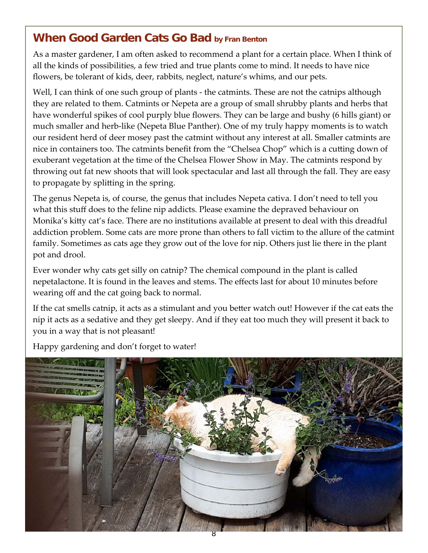### **When Good Garden Cats Go Bad by Fran Benton**

As a master gardener, I am often asked to recommend a plant for a certain place. When I think of all the kinds of possibilities, a few tried and true plants come to mind. It needs to have nice flowers, be tolerant of kids, deer, rabbits, neglect, nature's whims, and our pets.

Well, I can think of one such group of plants - the catmints. These are not the catnips although they are related to them. Catmints or Nepeta are a group of small shrubby plants and herbs that have wonderful spikes of cool purply blue flowers. They can be large and bushy (6 hills giant) or much smaller and herb‐like (Nepeta Blue Panther). One of my truly happy moments is to watch our resident herd of deer mosey past the catmint without any interest at all. Smaller catmints are nice in containers too. The catmints benefit from the "Chelsea Chop" which is a cutting down of exuberant vegetation at the time of the Chelsea Flower Show in May. The catmints respond by throwing out fat new shoots that will look spectacular and last all through the fall. They are easy to propagate by splitting in the spring.

The genus Nepeta is, of course, the genus that includes Nepeta cativa. I don't need to tell you what this stuff does to the feline nip addicts. Please examine the depraved behaviour on Monika's kitty cat's face. There are no institutions available at present to deal with this dreadful addiction problem. Some cats are more prone than others to fall victim to the allure of the catmint family. Sometimes as cats age they grow out of the love for nip. Others just lie there in the plant pot and drool.

Ever wonder why cats get silly on catnip? The chemical compound in the plant is called nepetalactone. It is found in the leaves and stems. The effects last for about 10 minutes before wearing off and the cat going back to normal.

If the cat smells catnip, it acts as a stimulant and you better watch out! However if the cat eats the nip it acts as a sedative and they get sleepy. And if they eat too much they will present it back to you in a way that is not pleasant!

Happy gardening and don't forget to water!

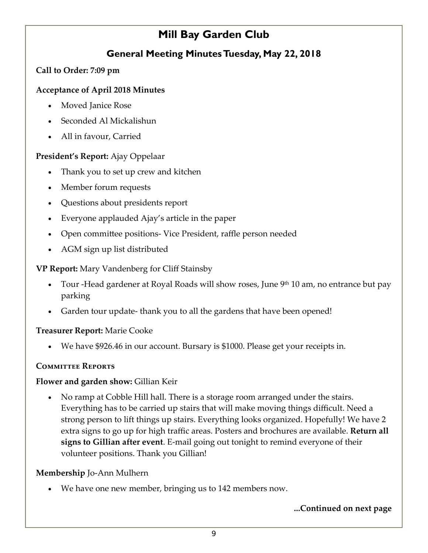### **Mill Bay Garden Club**

### **General Meeting Minutes Tuesday, May 22, 2018**

#### **Call to Order: 7:09 pm**

#### **Acceptance of April 2018 Minutes**

- Moved Janice Rose
- Seconded Al Mickalishun
- All in favour, Carried

#### **President's Report:** Ajay Oppelaar

- Thank you to set up crew and kitchen
- Member forum requests
- Questions about presidents report
- Everyone applauded Ajay's article in the paper
- Open committee positions‐ Vice President, raffle person needed
- AGM sign up list distributed

#### **VP Report:** Mary Vandenberg for Cliff Stainsby

- Tour -Head gardener at Royal Roads will show roses, June  $9<sup>th</sup> 10$  am, no entrance but pay parking
- Garden tour update‐ thank you to all the gardens that have been opened!

#### **Treasurer Report:** Marie Cooke

We have \$926.46 in our account. Bursary is \$1000. Please get your receipts in.

#### **Committee Reports**

#### **Flower and garden show:** Gillian Keir

• No ramp at Cobble Hill hall. There is a storage room arranged under the stairs. Everything has to be carried up stairs that will make moving things difficult. Need a strong person to lift things up stairs. Everything looks organized. Hopefully! We have 2 extra signs to go up for high traffic areas. Posters and brochures are available. **Return all signs to Gillian after event**. E‐mail going out tonight to remind everyone of their volunteer positions. Thank you Gillian!

#### **Membership** Jo‐Ann Mulhern

We have one new member, bringing us to 142 members now.

#### **...Continued on next page**